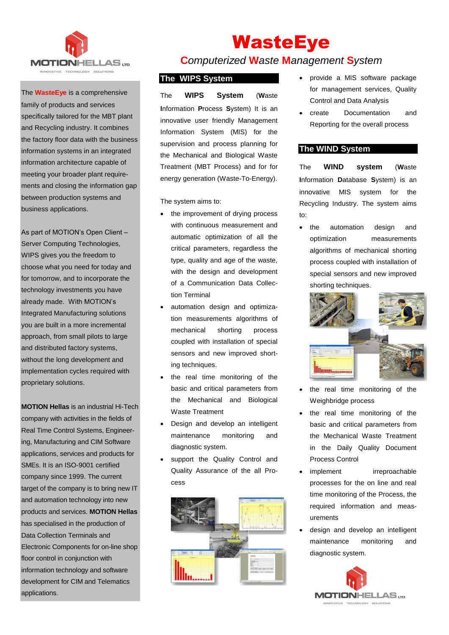

# The **WasteEye** is a comprehensive family of products and services

specifically tailored for the MBT plant and Recycling industry. It combines the factory floor data with the business information systems in an integrated information architecture capable of meeting your broader plant requirements and closing the information gap between production systems and business applications.

As part of MOTION's Open Client – Server Computing Technologies, WIPS gives you the freedom to choose what you need for today and for tomorrow, and to incorporate the technology investments you have already made. With MOTION's Integrated Manufacturing solutions you are built in a more incremental approach, from small pilots to large and distributed factory systems, without the long development and implementation cycles required with proprietary solutions.

**MOTION Hellas** is an industrial Hi-Tech company with activities in the fields of Real Time Control Systems, Engineering, Manufacturing and CIM Software applications, services and products for SMEs. It is an ISO-9001 certified company since 1999. The current target of the company is to bring new IT and automation technology into new products and services. **MOTION Hellas** has specialised in the production of Data Collection Terminals and Electronic Components for on-line shop floor control in conjunction with information technology and software development for CIM and Telematics applications.

# WasteEye **C***omputerized* **W***aste* **M***anagement* **S***ystem*

# **The WIPS System**

The **WIPS System** (**W**aste **I**nformation **P**rocess **S**ystem) It is an innovative user friendly Management Information System (MIS) for the supervision and process planning for the Mechanical and Biological Waste Treatment (MBT Process) and for for energy generation (Waste-To-Energy).

The system aims to:

- the improvement of drying process with continuous measurement and automatic optimization of all the critical parameters, regardless the type, quality and age of the waste, with the design and development of a Communication Data Collection Terminal
- automation design and optimization measurements algorithms of mechanical shorting process coupled with installation of special sensors and new improved shorting techniques.
- the real time monitoring of the basic and critical parameters from the Mechanical and Biological Waste Treatment
- Design and develop an intelligent maintenance monitoring and diagnostic system.
- support the Quality Control and Quality Assurance of the all Process



- provide a MIS software package for management services, Quality Control and Data Analysis
- create Documentation and Reporting for the overall process

#### **The WIND System**

The **WIND system** (**W**aste **I**nformation **D**atabase **S**ystem) is an innovative MIS system for the Recycling Industry. The system aims to:

• the automation design and optimization measurements algorithms of mechanical shorting process coupled with installation of special sensors and new improved shorting techniques.



- the real time monitoring of the Weighbridge process
- the real time monitoring of the basic and critical parameters from the Mechanical Waste Treatment in the Daily Quality Document Process Control
- implement irreproachable processes for the on line and real time monitoring of the Process, the required information and measurements
- design and develop an intelligent maintenance monitoring and diagnostic system.